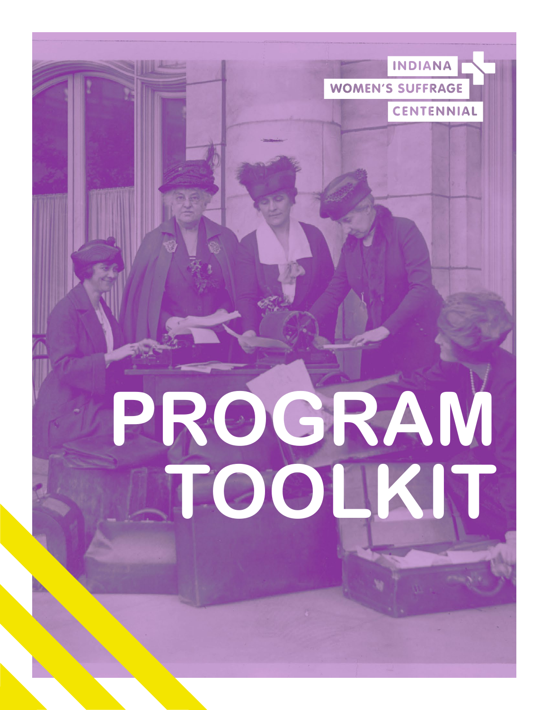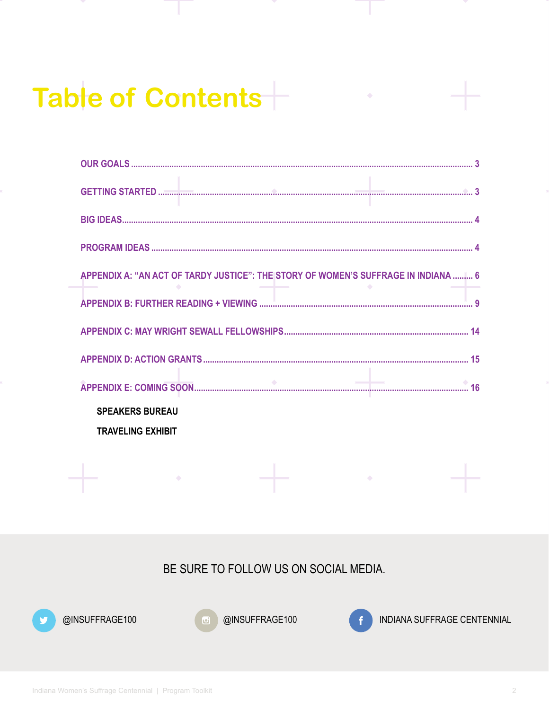# Table of Contents

| APPENDIX A: "AN ACT OF TARDY JUSTICE": THE STORY OF WOMEN'S SUFFRAGE IN INDIANA  6 |
|------------------------------------------------------------------------------------|
|                                                                                    |
|                                                                                    |
|                                                                                    |
|                                                                                    |
| <b>SPEAKERS BUREAU</b>                                                             |
| <b>TRAVELING EXHIBIT</b>                                                           |
|                                                                                    |

BE SURE TO FOLLOW US ON SOCIAL MEDIA.



@INSUFFRAGE100



 $\sim 100$  km s  $^{-1}$ 

@INSUFFRAGE100



 $\mathcal{L}(\mathcal{A})$  and  $\mathcal{A}(\mathcal{A})$ 

 $\ddot{\bullet}$ 

INDIANA SUFFRAGE CENTENNIAL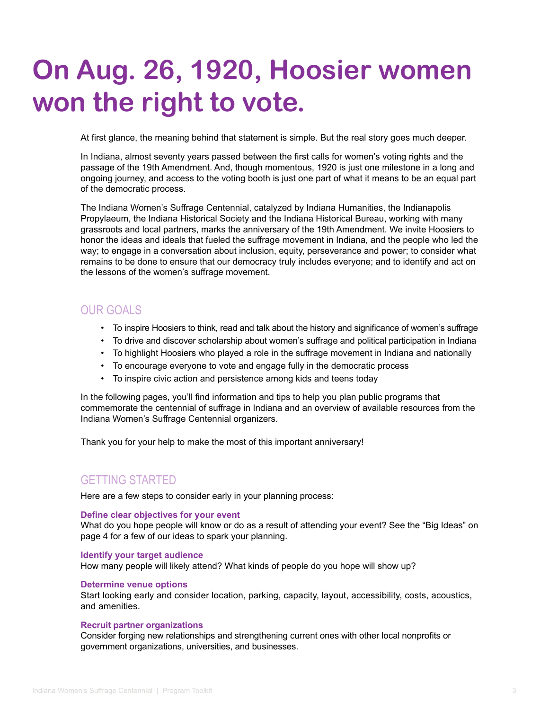# <span id="page-2-0"></span>**On Aug. 26, 1920, Hoosier women won the right to vote.**

At first glance, the meaning behind that statement is simple. But the real story goes much deeper.

In Indiana, almost seventy years passed between the first calls for women's voting rights and the passage of the 19th Amendment. And, though momentous, 1920 is just one milestone in a long and ongoing journey, and access to the voting booth is just one part of what it means to be an equal part of the democratic process.

The Indiana Women's Suffrage Centennial, catalyzed by Indiana Humanities, the Indianapolis Propylaeum, the Indiana Historical Society and the Indiana Historical Bureau, working with many grassroots and local partners, marks the anniversary of the 19th Amendment. We invite Hoosiers to honor the ideas and ideals that fueled the suffrage movement in Indiana, and the people who led the way; to engage in a conversation about inclusion, equity, perseverance and power; to consider what remains to be done to ensure that our democracy truly includes everyone; and to identify and act on the lessons of the women's suffrage movement.

# OUR GOALS

- To inspire Hoosiers to think, read and talk about the history and significance of women's suffrage
- To drive and discover scholarship about women's suffrage and political participation in Indiana
- To highlight Hoosiers who played a role in the suffrage movement in Indiana and nationally
- To encourage everyone to vote and engage fully in the democratic process
- To inspire civic action and persistence among kids and teens today

In the following pages, you'll find information and tips to help you plan public programs that commemorate the centennial of suffrage in Indiana and an overview of available resources from the Indiana Women's Suffrage Centennial organizers.

Thank you for your help to make the most of this important anniversary!

# GETTING STARTED

Here are a few steps to consider early in your planning process:

#### **Define clear objectives for your event**

What do you hope people will know or do as a result of attending your event? See the "Big Ideas" on page 4 for a few of our ideas to spark your planning.

#### **Identify your target audience**

How many people will likely attend? What kinds of people do you hope will show up?

#### **Determine venue options**

Start looking early and consider location, parking, capacity, layout, accessibility, costs, acoustics, and amenities.

#### **Recruit partner organizations**

Consider forging new relationships and strengthening current ones with other local nonprofits or government organizations, universities, and businesses.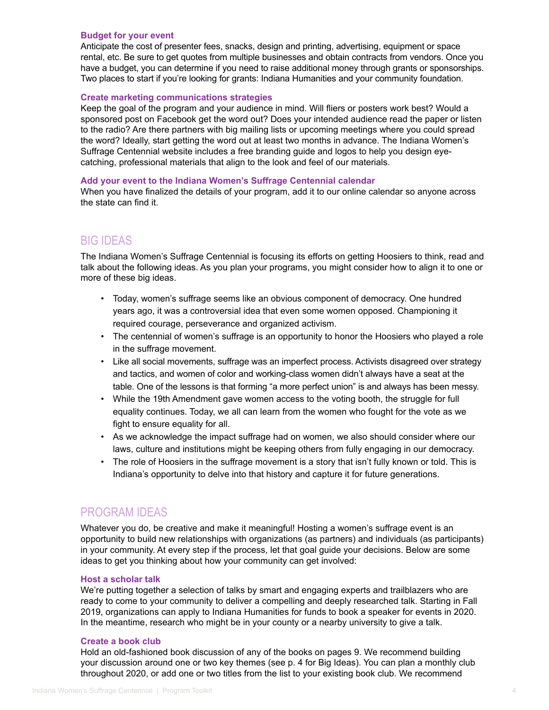#### <span id="page-3-0"></span>**Budget for your event**

Anticipate the cost of presenter fees, snacks, design and printing, advertising, equipment or space rental, etc. Be sure to get quotes from multiple businesses and obtain contracts from vendors. Once you have a budget, you can determine if you need to raise additional money through grants or sponsorships. Two places to start if you're looking for grants: Indiana Humanities and your community foundation.

# **Create marketing communications strategies**

Keep the goal of the program and your audience in mind. Will fliers or posters work best? Would a sponsored post on Facebook get the word out? Does your intended audience read the paper or listen to the radio? Are there partners with big mailing lists or upcoming meetings where you could spread the word? Ideally, start getting the word out at least two months in advance. The Indiana Women's Suffrage Centennial website includes a free branding guide and logos to help you design eyecatching, professional materials that align to the look and feel of our materials.

#### **Add your event to the Indiana Women's Suffrage Centennial calendar**

When you have finalized the details of your program, add it to our online calendar so anyone across the state can find it.

# BIG IDEAS

The Indiana Women's Suffrage Centennial is focusing its efforts on getting Hoosiers to think, read and talk about the following ideas. As you plan your programs, you might consider how to align it to one or more of these big ideas.

- Today, women's suffrage seems like an obvious component of democracy. One hundred years ago, it was a controversial idea that even some women opposed. Championing it required courage, perseverance and organized activism.
- The centennial of women's suffrage is an opportunity to honor the Hoosiers who played a role in the suffrage movement.
- Like all social movements, suffrage was an imperfect process. Activists disagreed over strategy and tactics, and women of color and working-class women didn't always have a seat at the table. One of the lessons is that forming "a more perfect union" is and always has been messy.
- While the 19th Amendment gave women access to the voting booth, the struggle for full equality continues. Today, we all can learn from the women who fought for the vote as we fight to ensure equality for all.
- As we acknowledge the impact suffrage had on women, we also should consider where our laws, culture and institutions might be keeping others from fully engaging in our democracy.
- The role of Hoosiers in the suffrage movement is a story that isn't fully known or told. This is Indiana's opportunity to delve into that history and capture it for future generations.

# PROGRAM IDEAS

Whatever you do, be creative and make it meaningful! Hosting a women's suffrage event is an opportunity to build new relationships with organizations (as partners) and individuals (as participants) in your community. At every step if the process, let that goal guide your decisions. Below are some ideas to get you thinking about how your community can get involved:

## **Host a scholar talk**

We're putting together a selection of talks by smart and engaging experts and trailblazers who are ready to come to your community to deliver a compelling and deeply researched talk. Starting in Fall 2019, organizations can apply to Indiana Humanities for funds to book a speaker for events in 2020. In the meantime, research who might be in your county or a nearby university to give a talk.

#### **Create a book club**

Hold an old-fashioned book discussion of any of the books on pages 9. We recommend building your discussion around one or two key themes (see p. 4 for Big Ideas). You can plan a monthly club throughout 2020, or add one or two titles from the list to your existing book club. We recommend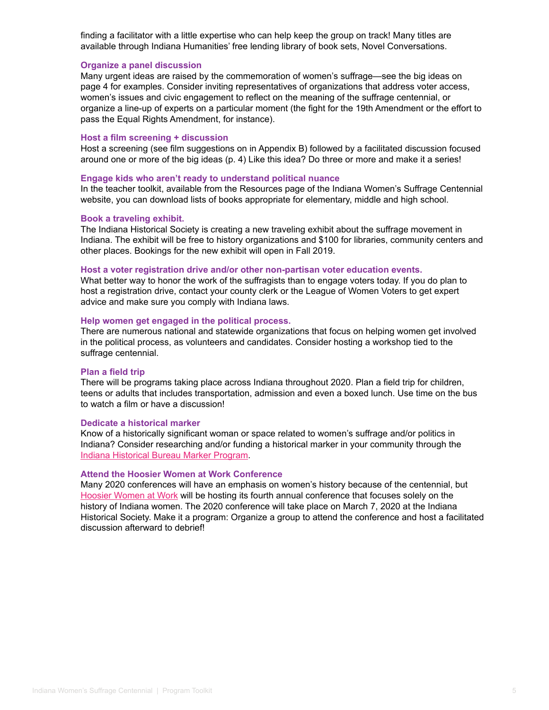finding a facilitator with a little expertise who can help keep the group on track! Many titles are available through Indiana Humanities' free lending library of book sets, Novel Conversations.

# **Organize a panel discussion**

Many urgent ideas are raised by the commemoration of women's suffrage—see the big ideas on page 4 for examples. Consider inviting representatives of organizations that address voter access, women's issues and civic engagement to reflect on the meaning of the suffrage centennial, or organize a line-up of experts on a particular moment (the fight for the 19th Amendment or the effort to pass the Equal Rights Amendment, for instance).

### **Host a film screening + discussion**

Host a screening (see film suggestions on in Appendix B) followed by a facilitated discussion focused around one or more of the big ideas (p. 4) Like this idea? Do three or more and make it a series!

#### **Engage kids who aren't ready to understand political nuance**

In the teacher toolkit, available from the Resources page of the Indiana Women's Suffrage Centennial website, you can download lists of books appropriate for elementary, middle and high school.

#### **Book a traveling exhibit.**

The Indiana Historical Society is creating a new traveling exhibit about the suffrage movement in Indiana. The exhibit will be free to history organizations and \$100 for libraries, community centers and other places. Bookings for the new exhibit will open in Fall 2019.

#### **Host a voter registration drive and/or other non-partisan voter education events.**

What better way to honor the work of the suffragists than to engage voters today. If you do plan to host a registration drive, contact your county clerk or the League of Women Voters to get expert advice and make sure you comply with Indiana laws.

#### **Help women get engaged in the political process.**

There are numerous national and statewide organizations that focus on helping women get involved in the political process, as volunteers and candidates. Consider hosting a workshop tied to the suffrage centennial.

#### **Plan a field trip**

There will be programs taking place across Indiana throughout 2020. Plan a field trip for children, teens or adults that includes transportation, admission and even a boxed lunch. Use time on the bus to watch a film or have a discussion!

#### **Dedicate a historical marker**

Know of a historically significant woman or space related to women's suffrage and/or politics in Indiana? Consider researching and/or funding a historical marker in your community through the [Indiana Historical Bureau Marker Program.](https://www.in.gov/history/markers.htm)

## **Attend the Hoosier Women at Work Conference**

Many 2020 conferences will have an emphasis on women's history because of the centennial, but [Hoosier Women at Work](https://www.in.gov/history/4304.htm) will be hosting its fourth annual conference that focuses solely on the history of Indiana women. The 2020 conference will take place on March 7, 2020 at the Indiana Historical Society. Make it a program: Organize a group to attend the conference and host a facilitated discussion afterward to debrief!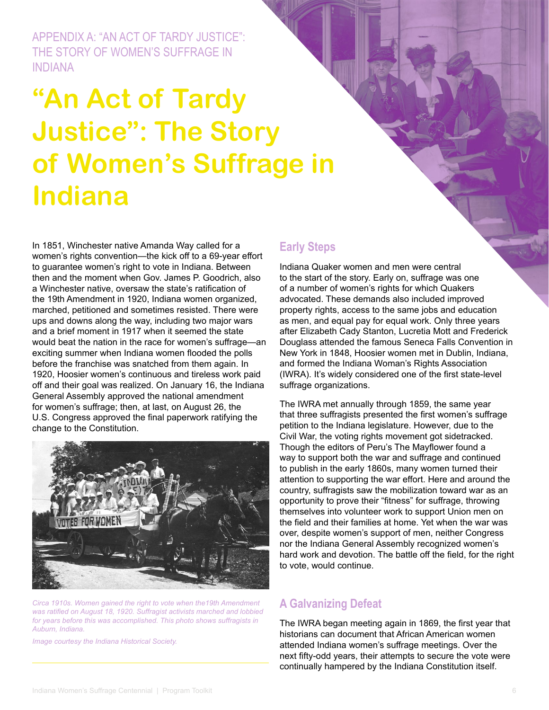<span id="page-5-0"></span>APPENDIX A: "AN ACT OF TARDY JUSTICE": THE STORY OF WOMEN'S SUFFRAGE IN INDIANA

# **"An Act of Tardy Justice": The Story of Women's Suffrage in Indiana**

In 1851, Winchester native Amanda Way called for a women's rights convention—the kick off to a 69-year effort to guarantee women's right to vote in Indiana. Between then and the moment when Gov. James P. Goodrich, also a Winchester native, oversaw the state's ratification of the 19th Amendment in 1920, Indiana women organized, marched, petitioned and sometimes resisted. There were ups and downs along the way, including two major wars and a brief moment in 1917 when it seemed the state would beat the nation in the race for women's suffrage—an exciting summer when Indiana women flooded the polls before the franchise was snatched from them again. In 1920, Hoosier women's continuous and tireless work paid off and their goal was realized. On January 16, the Indiana General Assembly approved the national amendment for women's suffrage; then, at last, on August 26, the U.S. Congress approved the final paperwork ratifying the change to the Constitution.



*Circa 1910s. Women gained the right to vote when the19th Amendment was ratified on August 18, 1920. Suffragist activists marched and lobbied for years before this was accomplished. This photo shows suffragists in Auburn, Indiana.*

*Image courtesy the Indiana Historical Society.*

# **Early Steps**

Indiana Quaker women and men were central to the start of the story. Early on, suffrage was one of a number of women's rights for which Quakers advocated. These demands also included improved property rights, access to the same jobs and education as men, and equal pay for equal work. Only three years after Elizabeth Cady Stanton, Lucretia Mott and Frederick Douglass attended the famous Seneca Falls Convention in New York in 1848, Hoosier women met in Dublin, Indiana, and formed the Indiana Woman's Rights Association (IWRA). It's widely considered one of the first state-level suffrage organizations.

The IWRA met annually through 1859, the same year that three suffragists presented the first women's suffrage petition to the Indiana legislature. However, due to the Civil War, the voting rights movement got sidetracked. Though the editors of Peru's The Mayflower found a way to support both the war and suffrage and continued to publish in the early 1860s, many women turned their attention to supporting the war effort. Here and around the country, suffragists saw the mobilization toward war as an opportunity to prove their "fitness" for suffrage, throwing themselves into volunteer work to support Union men on the field and their families at home. Yet when the war was over, despite women's support of men, neither Congress nor the Indiana General Assembly recognized women's hard work and devotion. The battle off the field, for the right to vote, would continue.

# **A Galvanizing Defeat**

The IWRA began meeting again in 1869, the first year that historians can document that African American women attended Indiana women's suffrage meetings. Over the next fifty-odd years, their attempts to secure the vote were continually hampered by the Indiana Constitution itself.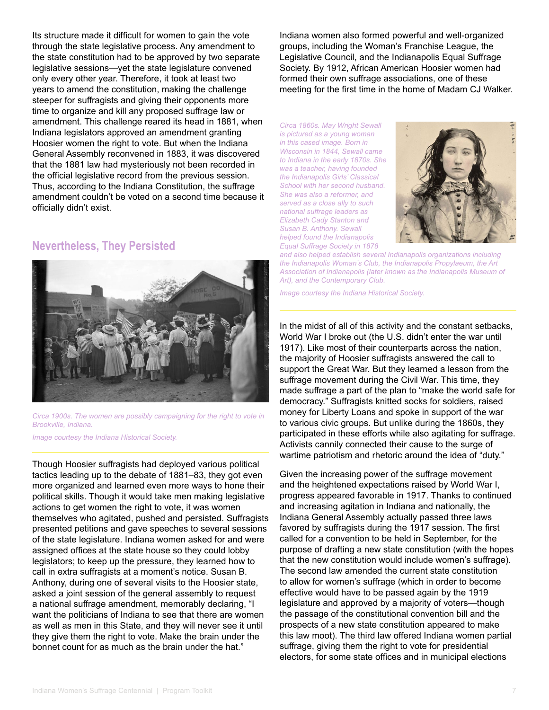Its structure made it difficult for women to gain the vote through the state legislative process. Any amendment to the state constitution had to be approved by two separate legislative sessions—yet the state legislature convened only every other year. Therefore, it took at least two years to amend the constitution, making the challenge steeper for suffragists and giving their opponents more time to organize and kill any proposed suffrage law or amendment. This challenge reared its head in 1881, when Indiana legislators approved an amendment granting Hoosier women the right to vote. But when the Indiana General Assembly reconvened in 1883, it was discovered that the 1881 law had mysteriously not been recorded in the official legislative record from the previous session. Thus, according to the Indiana Constitution, the suffrage amendment couldn't be voted on a second time because it officially didn't exist.

# **Nevertheless, They Persisted**



*Circa 1900s. The women are possibly campaigning for the right to vote in Brookville, Indiana. Image courtesy the Indiana Historical Society.* 

Though Hoosier suffragists had deployed various political tactics leading up to the debate of 1881–83, they got even more organized and learned even more ways to hone their political skills. Though it would take men making legislative actions to get women the right to vote, it was women themselves who agitated, pushed and persisted. Suffragists presented petitions and gave speeches to several sessions of the state legislature. Indiana women asked for and were assigned offices at the state house so they could lobby legislators; to keep up the pressure, they learned how to call in extra suffragists at a moment's notice. Susan B. Anthony, during one of several visits to the Hoosier state, asked a joint session of the general assembly to request a national suffrage amendment, memorably declaring, "I want the politicians of Indiana to see that there are women as well as men in this State, and they will never see it until they give them the right to vote. Make the brain under the bonnet count for as much as the brain under the hat."

Indiana women also formed powerful and well-organized groups, including the Woman's Franchise League, the Legislative Council, and the Indianapolis Equal Suffrage Society. By 1912, African American Hoosier women had formed their own suffrage associations, one of these meeting for the first time in the home of Madam CJ Walker.

*Circa 1860s. May Wright Sewall is pictured as a young woman in this cased image. Born in Wisconsin in 1844, Sewall came to Indiana in the early 1870s. She was a teacher, having founded the Indianapolis Girls' Classical School with her second husband. She was also a reformer, and served as a close ally to such national suffrage leaders as Elizabeth Cady Stanton and Susan B. Anthony. Sewall helped found the Indianapolis Equal Suffrage Society in 1878* 



*and also helped establish several Indianapolis organizations including the Indianapolis Woman's Club, the Indianapolis Propylaeum, the Art Association of Indianapolis (later known as the Indianapolis Museum of Art), and the Contemporary Club.* 

*Image courtesy the Indiana Historical Society.*

In the midst of all of this activity and the constant setbacks, World War I broke out (the U.S. didn't enter the war until 1917). Like most of their counterparts across the nation, the majority of Hoosier suffragists answered the call to support the Great War. But they learned a lesson from the suffrage movement during the Civil War. This time, they made suffrage a part of the plan to "make the world safe for democracy." Suffragists knitted socks for soldiers, raised money for Liberty Loans and spoke in support of the war to various civic groups. But unlike during the 1860s, they participated in these efforts while also agitating for suffrage. Activists cannily connected their cause to the surge of wartime patriotism and rhetoric around the idea of "duty."

Given the increasing power of the suffrage movement and the heightened expectations raised by World War I, progress appeared favorable in 1917. Thanks to continued and increasing agitation in Indiana and nationally, the Indiana General Assembly actually passed three laws favored by suffragists during the 1917 session. The first called for a convention to be held in September, for the purpose of drafting a new state constitution (with the hopes that the new constitution would include women's suffrage). The second law amended the current state constitution to allow for women's suffrage (which in order to become effective would have to be passed again by the 1919 legislature and approved by a majority of voters—though the passage of the constitutional convention bill and the prospects of a new state constitution appeared to make this law moot). The third law offered Indiana women partial suffrage, giving them the right to vote for presidential electors, for some state offices and in municipal elections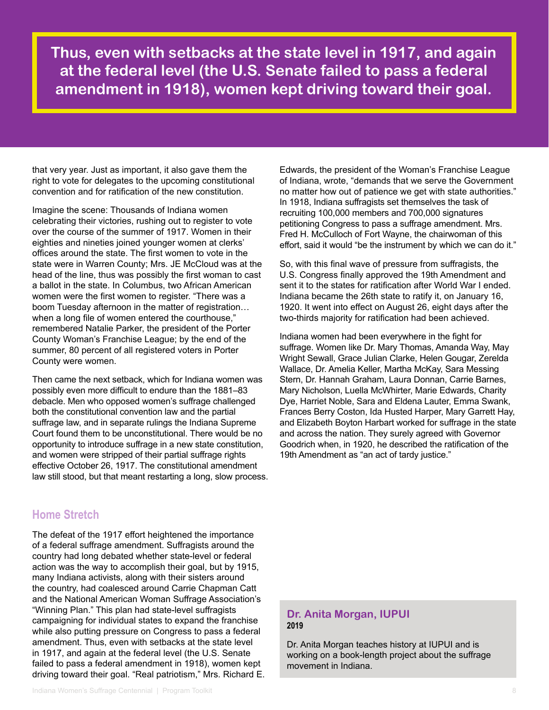**Thus, even with setbacks at the state level in 1917, and again at the federal level (the U.S. Senate failed to pass a federal amendment in 1918), women kept driving toward their goal.**

that very year. Just as important, it also gave them the right to vote for delegates to the upcoming constitutional convention and for ratification of the new constitution.

Imagine the scene: Thousands of Indiana women celebrating their victories, rushing out to register to vote over the course of the summer of 1917. Women in their eighties and nineties joined younger women at clerks' offices around the state. The first women to vote in the state were in Warren County; Mrs. JE McCloud was at the head of the line, thus was possibly the first woman to cast a ballot in the state. In Columbus, two African American women were the first women to register. "There was a boom Tuesday afternoon in the matter of registration… when a long file of women entered the courthouse," remembered Natalie Parker, the president of the Porter County Woman's Franchise League; by the end of the summer, 80 percent of all registered voters in Porter County were women.

Then came the next setback, which for Indiana women was possibly even more difficult to endure than the 1881–83 debacle. Men who opposed women's suffrage challenged both the constitutional convention law and the partial suffrage law, and in separate rulings the Indiana Supreme Court found them to be unconstitutional. There would be no opportunity to introduce suffrage in a new state constitution, and women were stripped of their partial suffrage rights effective October 26, 1917. The constitutional amendment law still stood, but that meant restarting a long, slow process.

# **Home Stretch**

The defeat of the 1917 effort heightened the importance of a federal suffrage amendment. Suffragists around the country had long debated whether state-level or federal action was the way to accomplish their goal, but by 1915, many Indiana activists, along with their sisters around the country, had coalesced around Carrie Chapman Catt and the National American Woman Suffrage Association's "Winning Plan." This plan had state-level suffragists campaigning for individual states to expand the franchise while also putting pressure on Congress to pass a federal amendment. Thus, even with setbacks at the state level in 1917, and again at the federal level (the U.S. Senate failed to pass a federal amendment in 1918), women kept driving toward their goal. "Real patriotism," Mrs. Richard E.

Edwards, the president of the Woman's Franchise League of Indiana, wrote, "demands that we serve the Government no matter how out of patience we get with state authorities." In 1918, Indiana suffragists set themselves the task of recruiting 100,000 members and 700,000 signatures petitioning Congress to pass a suffrage amendment. Mrs. Fred H. McCulloch of Fort Wayne, the chairwoman of this effort, said it would "be the instrument by which we can do it."

So, with this final wave of pressure from suffragists, the U.S. Congress finally approved the 19th Amendment and sent it to the states for ratification after World War I ended. Indiana became the 26th state to ratify it, on January 16, 1920. It went into effect on August 26, eight days after the two-thirds majority for ratification had been achieved.

Indiana women had been everywhere in the fight for suffrage. Women like Dr. Mary Thomas, Amanda Way, May Wright Sewall, Grace Julian Clarke, Helen Gougar, Zerelda Wallace, Dr. Amelia Keller, Martha McKay, Sara Messing Stern, Dr. Hannah Graham, Laura Donnan, Carrie Barnes, Mary Nicholson, Luella McWhirter, Marie Edwards, Charity Dye, Harriet Noble, Sara and Eldena Lauter, Emma Swank, Frances Berry Coston, Ida Husted Harper, Mary Garrett Hay, and Elizabeth Boyton Harbart worked for suffrage in the state and across the nation. They surely agreed with Governor Goodrich when, in 1920, he described the ratification of the 19th Amendment as "an act of tardy justice."

# **Dr. Anita Morgan, IUPUI 2019**

Dr. Anita Morgan teaches history at IUPUI and is working on a book-length project about the suffrage movement in Indiana.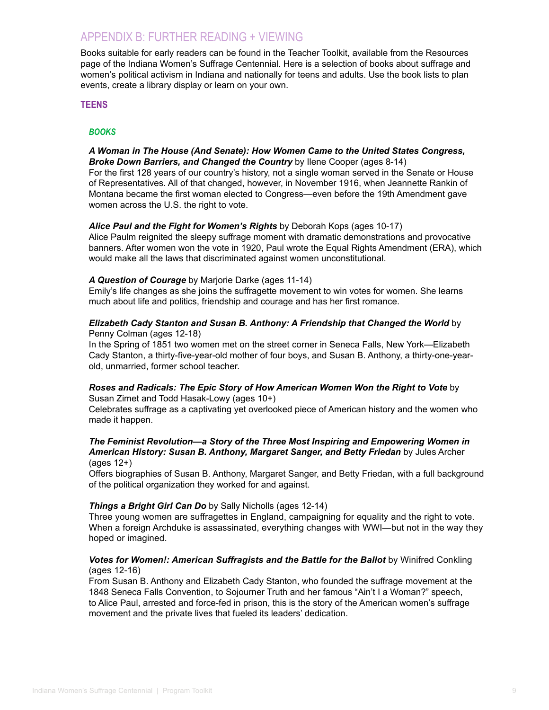# <span id="page-8-0"></span>APPENDIX B: FURTHER READING + VIEWING

Books suitable for early readers can be found in the Teacher Toolkit, available from the Resources page of the Indiana Women's Suffrage Centennial. Here is a selection of books about suffrage and women's political activism in Indiana and nationally for teens and adults. Use the book lists to plan events, create a library display or learn on your own.

# **TEENS**

# *BOOKS*

### *A Woman in The House (And Senate): How Women Came to the United States Congress, Broke Down Barriers, and Changed the Country* by Ilene Cooper (ages 8-14)

For the first 128 years of our country's history, not a single woman served in the Senate or House of Representatives. All of that changed, however, in November 1916, when Jeannette Rankin of Montana became the first woman elected to Congress—even before the 19th Amendment gave women across the U.S. the right to vote.

## *Alice Paul and the Fight for Women's Rights* by Deborah Kops (ages 10-17)

Alice Paulm reignited the sleepy suffrage moment with dramatic demonstrations and provocative banners. After women won the vote in 1920, Paul wrote the Equal Rights Amendment (ERA), which would make all the laws that discriminated against women unconstitutional.

# *A Question of Courage* by Marjorie Darke (ages 11-14)

Emily's life changes as she joins the suffragette movement to win votes for women. She learns much about life and politics, friendship and courage and has her first romance.

#### *Elizabeth Cady Stanton and Susan B. Anthony: A Friendship that Changed the World* by Penny Colman (ages 12-18)

In the Spring of 1851 two women met on the street corner in Seneca Falls, New York—Elizabeth Cady Stanton, a thirty-five-year-old mother of four boys, and Susan B. Anthony, a thirty-one-yearold, unmarried, former school teacher.

### *Roses and Radicals: The Epic Story of How American Women Won the Right to Vote* by Susan Zimet and Todd Hasak-Lowy (ages 10+)

Celebrates suffrage as a captivating yet overlooked piece of American history and the women who made it happen.

#### *The Feminist Revolution—a Story of the Three Most Inspiring and Empowering Women in American History: Susan B. Anthony, Margaret Sanger, and Betty Friedan* by Jules Archer (ages 12+)

Offers biographies of Susan B. Anthony, Margaret Sanger, and Betty Friedan, with a full background of the political organization they worked for and against.

## *Things a Bright Girl Can Do* by Sally Nicholls (ages 12-14)

Three young women are suffragettes in England, campaigning for equality and the right to vote. When a foreign Archduke is assassinated, everything changes with WWI—but not in the way they hoped or imagined.

# *Votes for Women!: American Suffragists and the Battle for the Ballot* by Winifred Conkling (ages 12-16)

From Susan B. Anthony and Elizabeth Cady Stanton, who founded the suffrage movement at the 1848 Seneca Falls Convention, to Sojourner Truth and her famous "Ain't I a Woman?" speech, to Alice Paul, arrested and force-fed in prison, this is the story of the American women's suffrage movement and the private lives that fueled its leaders' dedication.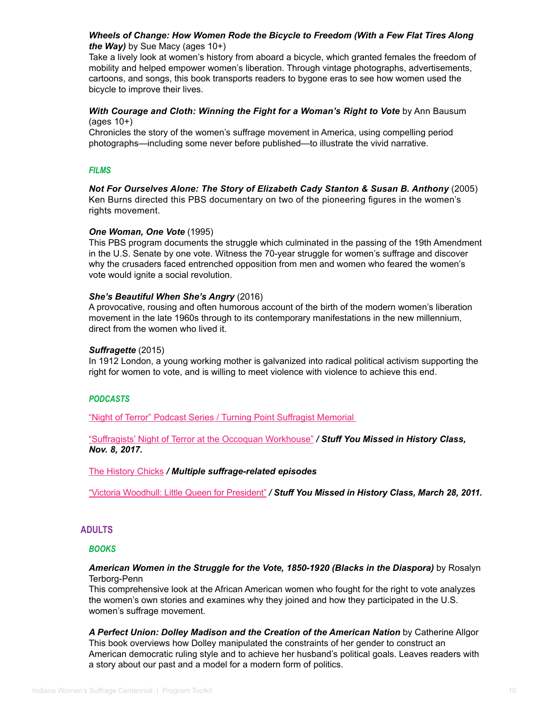# *Wheels of Change: How Women Rode the Bicycle to Freedom (With a Few Flat Tires Along the Way)* by Sue Macy (ages 10+)

Take a lively look at women's history from aboard a bicycle, which granted females the freedom of mobility and helped empower women's liberation. Through vintage photographs, advertisements, cartoons, and songs, this book transports readers to bygone eras to see how women used the bicycle to improve their lives.

# *With Courage and Cloth: Winning the Fight for a Woman's Right to Vote* by Ann Bausum (ages 10+)

Chronicles the story of the women's suffrage movement in America, using compelling period photographs—including some never before published—to illustrate the vivid narrative.

# *FILMS*

*Not For Ourselves Alone: The Story of Elizabeth Cady Stanton & Susan B. Anthony* (2005) Ken Burns directed this PBS documentary on two of the pioneering figures in the women's rights movement.

## *One Woman, One Vote* (1995)

This PBS program documents the struggle which culminated in the passing of the 19th Amendment in the U.S. Senate by one vote. Witness the 70-year struggle for women's suffrage and discover why the crusaders faced entrenched opposition from men and women who feared the women's vote would ignite a social revolution.

## *She's Beautiful When She's Angry* (2016)

A provocative, rousing and often humorous account of the birth of the modern women's liberation movement in the late 1960s through to its contemporary manifestations in the new millennium, direct from the women who lived it.

# *Suffragette* (2015)

In 1912 London, a young working mother is galvanized into radical political activism supporting the right for women to vote, and is willing to meet violence with violence to achieve this end.

# *PODCASTS*

["Night of Terror" Podcast Series / Turning Point Suffragist Memorial](https://suffragistmemorial.org/night-of-terror-podcast-series/) 

["Suffragists' Night of Terror at the Occoquan Workhouse"](https://www.missedinhistory.com/podcasts/suffragists-night-of-terror.htm) */ Stuff You Missed in History Class, Nov. 8, 2017.*

[The History Chicks](http://thehistorychicks.com/tag/suffragists/) */ Multiple suffrage-related episodes*

["Victoria Woodhull: Little Queen for President"](https://www.missedinhistory.com/podcasts/little-queen-for-president.htm) */ Stuff You Missed in History Class, March 28, 2011.*

# **ADULTS**

## *BOOKS*

## *American Women in the Struggle for the Vote, 1850-1920 (Blacks in the Diaspora)* by Rosalyn Terborg-Penn

This comprehensive look at the African American women who fought for the right to vote analyzes the women's own stories and examines why they joined and how they participated in the U.S. women's suffrage movement.

*A Perfect Union: Dolley Madison and the Creation of the American Nation* by Catherine Allgor This book overviews how Dolley manipulated the constraints of her gender to construct an American democratic ruling style and to achieve her husband's political goals. Leaves readers with a story about our past and a model for a modern form of politics.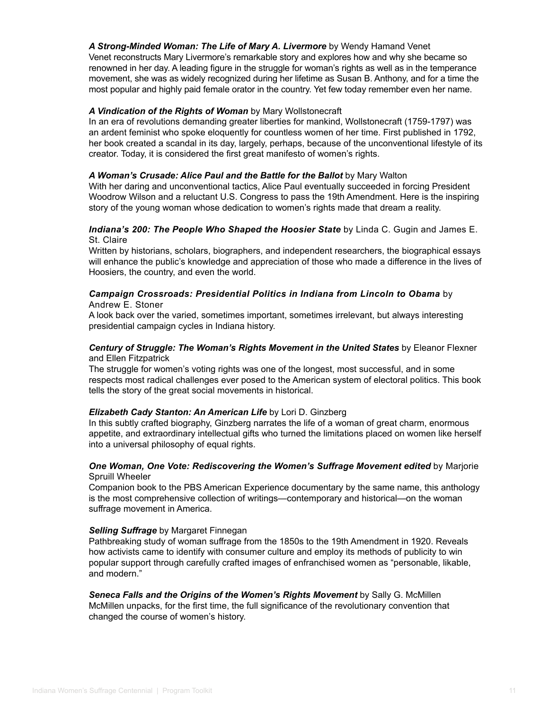## *A Strong-Minded Woman: The Life of Mary A. Livermore* by Wendy Hamand Venet Venet reconstructs Mary Livermore's remarkable story and explores how and why she became so renowned in her day. A leading figure in the struggle for woman's rights as well as in the temperance movement, she was as widely recognized during her lifetime as Susan B. Anthony, and for a time the most popular and highly paid female orator in the country. Yet few today remember even her name.

# *A Vindication of the Rights of Woman* by Mary Wollstonecraft

In an era of revolutions demanding greater liberties for mankind, Wollstonecraft (1759-1797) was an ardent feminist who spoke eloquently for countless women of her time. First published in 1792, her book created a scandal in its day, largely, perhaps, because of the unconventional lifestyle of its creator. Today, it is considered the first great manifesto of women's rights.

## *A Woman's Crusade: Alice Paul and the Battle for the Ballot* by Mary Walton

With her daring and unconventional tactics, Alice Paul eventually succeeded in forcing President Woodrow Wilson and a reluctant U.S. Congress to pass the 19th Amendment. Here is the inspiring story of the young woman whose dedication to women's rights made that dream a reality.

# *Indiana's 200: The People Who Shaped the Hoosier State* by Linda C. Gugin and James E. St. Claire

Written by historians, scholars, biographers, and independent researchers, the biographical essays will enhance the public's knowledge and appreciation of those who made a difference in the lives of Hoosiers, the country, and even the world.

#### *Campaign Crossroads: Presidential Politics in Indiana from Lincoln to Obama* by Andrew E. Stoner

A look back over the varied, sometimes important, sometimes irrelevant, but always interesting presidential campaign cycles in Indiana history.

# *Century of Struggle: The Woman's Rights Movement in the United States* by Eleanor Flexner and Ellen Fitzpatrick

The struggle for women's voting rights was one of the longest, most successful, and in some respects most radical challenges ever posed to the American system of electoral politics. This book tells the story of the great social movements in historical.

## *Elizabeth Cady Stanton: An American Life* by Lori D. Ginzberg

In this subtly crafted biography, Ginzberg narrates the life of a woman of great charm, enormous appetite, and extraordinary intellectual gifts who turned the limitations placed on women like herself into a universal philosophy of equal rights.

# *One Woman, One Vote: Rediscovering the Women's Suffrage Movement edited* by Marjorie Spruill Wheeler

Companion book to the PBS American Experience documentary by the same name, this anthology is the most comprehensive collection of writings—contemporary and historical—on the woman suffrage movement in America.

## *Selling Suffrage* by Margaret Finnegan

Pathbreaking study of woman suffrage from the 1850s to the 19th Amendment in 1920. Reveals how activists came to identify with consumer culture and employ its methods of publicity to win popular support through carefully crafted images of enfranchised women as "personable, likable, and modern."

*Seneca Falls and the Origins of the Women's Rights Movement* by Sally G. McMillen McMillen unpacks, for the first time, the full significance of the revolutionary convention that changed the course of women's history.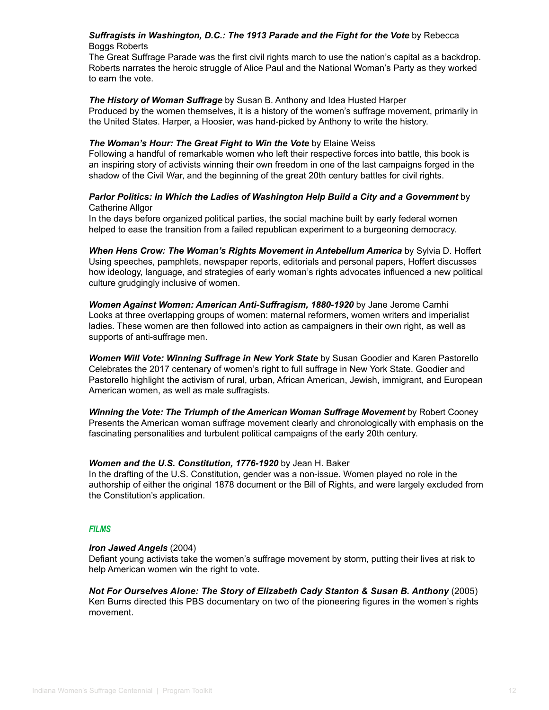# *Suffragists in Washington, D.C.: The 1913 Parade and the Fight for the Vote* by Rebecca Boggs Roberts

The Great Suffrage Parade was the first civil rights march to use the nation's capital as a backdrop. Roberts narrates the heroic struggle of Alice Paul and the National Woman's Party as they worked to earn the vote.

# *The History of Woman Suffrage* by Susan B. Anthony and Idea Husted Harper

Produced by the women themselves, it is a history of the women's suffrage movement, primarily in the United States. Harper, a Hoosier, was hand-picked by Anthony to write the history.

# *The Woman's Hour: The Great Fight to Win the Vote* by Elaine Weiss

Following a handful of remarkable women who left their respective forces into battle, this book is an inspiring story of activists winning their own freedom in one of the last campaigns forged in the shadow of the Civil War, and the beginning of the great 20th century battles for civil rights.

# *Parlor Politics: In Which the Ladies of Washington Help Build a City and a Government* by Catherine Allgor

In the days before organized political parties, the social machine built by early federal women helped to ease the transition from a failed republican experiment to a burgeoning democracy.

*When Hens Crow: The Woman's Rights Movement in Antebellum America* by Sylvia D. Hoffert Using speeches, pamphlets, newspaper reports, editorials and personal papers, Hoffert discusses how ideology, language, and strategies of early woman's rights advocates influenced a new political culture grudgingly inclusive of women.

*Women Against Women: American Anti-Suffragism, 1880-1920* by Jane Jerome Camhi Looks at three overlapping groups of women: maternal reformers, women writers and imperialist ladies. These women are then followed into action as campaigners in their own right, as well as supports of anti-suffrage men.

*Women Will Vote: Winning Suffrage in New York State* by Susan Goodier and Karen Pastorello Celebrates the 2017 centenary of women's right to full suffrage in New York State. Goodier and Pastorello highlight the activism of rural, urban, African American, Jewish, immigrant, and European American women, as well as male suffragists.

*Winning the Vote: The Triumph of the American Woman Suffrage Movement* by Robert Cooney Presents the American woman suffrage movement clearly and chronologically with emphasis on the fascinating personalities and turbulent political campaigns of the early 20th century.

# *Women and the U.S. Constitution, 1776-1920* by Jean H. Baker

In the drafting of the U.S. Constitution, gender was a non-issue. Women played no role in the authorship of either the original 1878 document or the Bill of Rights, and were largely excluded from the Constitution's application.

# *FILMS*

## *Iron Jawed Angels* (2004)

Defiant young activists take the women's suffrage movement by storm, putting their lives at risk to help American women win the right to vote.

*Not For Ourselves Alone: The Story of Elizabeth Cady Stanton & Susan B. Anthony* (2005) Ken Burns directed this PBS documentary on two of the pioneering figures in the women's rights movement.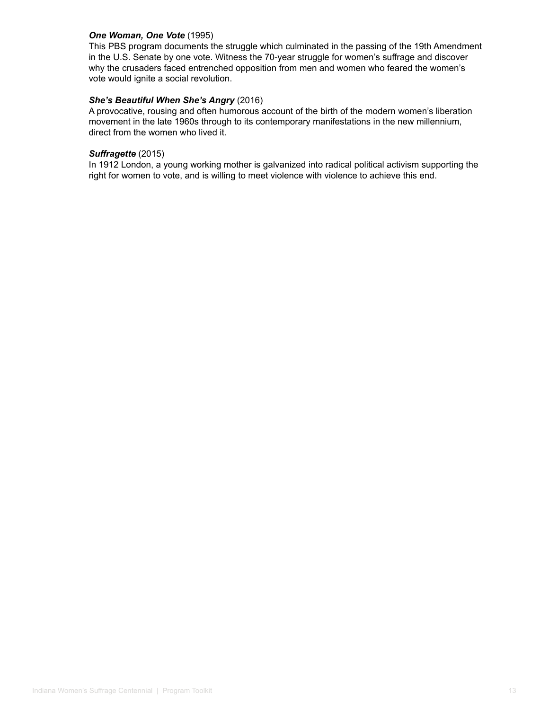#### *One Woman, One Vote* (1995)

This PBS program documents the struggle which culminated in the passing of the 19th Amendment in the U.S. Senate by one vote. Witness the 70-year struggle for women's suffrage and discover why the crusaders faced entrenched opposition from men and women who feared the women's vote would ignite a social revolution.

# *She's Beautiful When She's Angry* (2016)

A provocative, rousing and often humorous account of the birth of the modern women's liberation movement in the late 1960s through to its contemporary manifestations in the new millennium, direct from the women who lived it.

#### *Suffragette* (2015)

In 1912 London, a young working mother is galvanized into radical political activism supporting the right for women to vote, and is willing to meet violence with violence to achieve this end.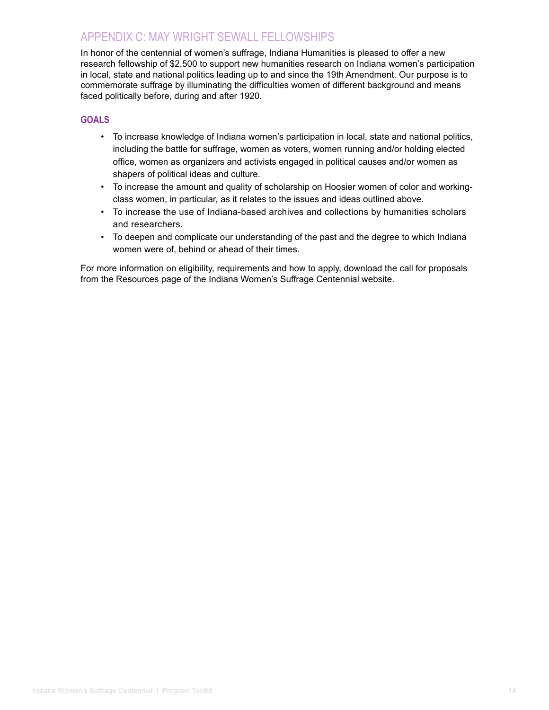# <span id="page-13-0"></span>APPENDIX C: MAY WRIGHT SEWALL FELLOWSHIPS

In honor of the centennial of women's suffrage, Indiana Humanities is pleased to offer a new research fellowship of \$2,500 to support new humanities research on Indiana women's participation in local, state and national politics leading up to and since the 19th Amendment. Our purpose is to commemorate suffrage by illuminating the difficulties women of different background and means faced politically before, during and after 1920.

# **GOALS**

- To increase knowledge of Indiana women's participation in local, state and national politics, including the battle for suffrage, women as voters, women running and/or holding elected office, women as organizers and activists engaged in political causes and/or women as shapers of political ideas and culture.
- To increase the amount and quality of scholarship on Hoosier women of color and workingclass women, in particular, as it relates to the issues and ideas outlined above.
- To increase the use of Indiana-based archives and collections by humanities scholars and researchers.
- To deepen and complicate our understanding of the past and the degree to which Indiana women were of, behind or ahead of their times.

For more information on eligibility, requirements and how to apply, download the call for proposals from the Resources page of the Indiana Women's Suffrage Centennial website.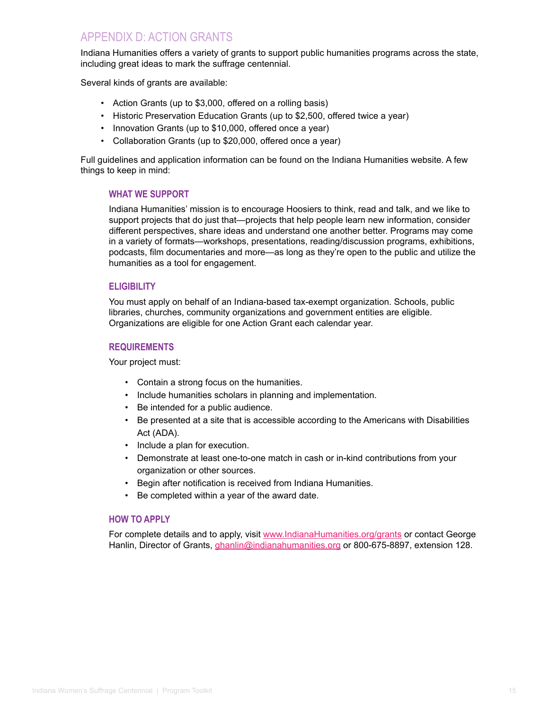# <span id="page-14-0"></span>APPENDIX D: ACTION GRANTS

Indiana Humanities offers a variety of grants to support public humanities programs across the state, including great ideas to mark the suffrage centennial.

Several kinds of grants are available:

- Action Grants (up to \$3,000, offered on a rolling basis)
- Historic Preservation Education Grants (up to \$2,500, offered twice a year)
- Innovation Grants (up to \$10,000, offered once a year)
- Collaboration Grants (up to \$20,000, offered once a year)

Full guidelines and application information can be found on the Indiana Humanities website. A few things to keep in mind:

# **WHAT WE SUPPORT**

Indiana Humanities' mission is to encourage Hoosiers to think, read and talk, and we like to support projects that do just that—projects that help people learn new information, consider different perspectives, share ideas and understand one another better. Programs may come in a variety of formats—workshops, presentations, reading/discussion programs, exhibitions, podcasts, film documentaries and more—as long as they're open to the public and utilize the humanities as a tool for engagement.

# **ELIGIBILITY**

You must apply on behalf of an Indiana-based tax-exempt organization. Schools, public libraries, churches, community organizations and government entities are eligible. Organizations are eligible for one Action Grant each calendar year.

## **REQUIREMENTS**

Your project must:

- Contain a strong focus on the humanities.
- Include humanities scholars in planning and implementation.
- Be intended for a public audience.
- Be presented at a site that is accessible according to the Americans with Disabilities Act (ADA).
- Include a plan for execution.
- Demonstrate at least one-to-one match in cash or in-kind contributions from your organization or other sources.
- Begin after notification is received from Indiana Humanities.
- Be completed within a year of the award date.

## **HOW TO APPLY**

For complete details and to apply, visit [www.IndianaHumanities.org/grants](https://indianahumanities.org/about-grants) or contact George Hanlin, Director of Grants, [ghanlin@indianahumanities.org](mailto:ghanlin%40indianahumanities.org?subject=Indiana%20Women%27s%20Suffrage%20Centennial%20Grants) or 800-675-8897, extension 128.